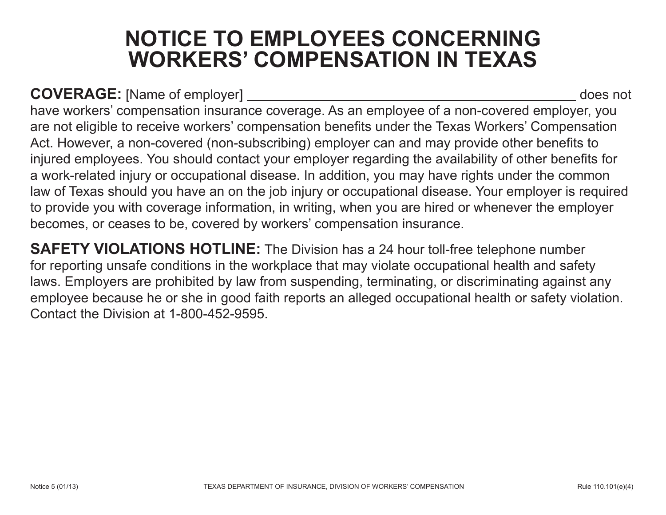## **NOTICE TO EMPLOYEES CONCERNING WORKERS' COMPENSATION IN TEXAS**

**COVERAGE:** [Name of employer] does not

have workers' compensation insurance coverage. As an employee of a non-covered employer, you are not eligible to receive workers' compensation benefits under the Texas Workers' Compensation Act. However, a non-covered (non-subscribing) employer can and may provide other benefits to injured employees. You should contact your employer regarding the availability of other benefits for a work-related injury or occupational disease. In addition, you may have rights under the common law of Texas should you have an on the job injury or occupational disease. Your employer is required to provide you with coverage information, in writing, when you are hired or whenever the employer becomes, or ceases to be, covered by workers' compensation insurance.

**SAFETY VIOLATIONS HOTLINE:** The Division has a 24 hour toll-free telephone number for reporting unsafe conditions in the workplace that may violate occupational health and safety laws. Employers are prohibited by law from suspending, terminating, or discriminating against any employee because he or she in good faith reports an alleged occupational health or safety violation. Contact the Division at 1-800-452-9595.